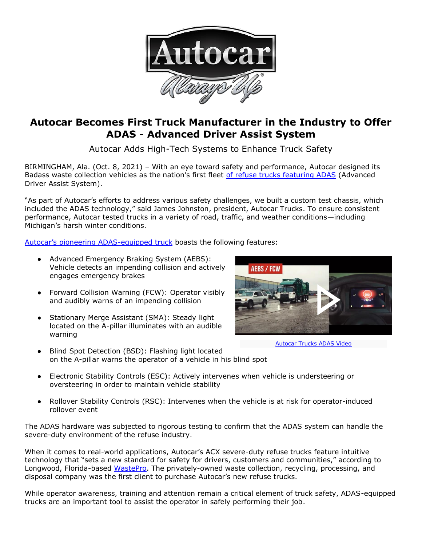

## **Autocar Becomes First Truck Manufacturer in the Industry to Offer ADAS** - **Advanced Driver Assist System**

Autocar Adds High-Tech Systems to Enhance Truck Safety

BIRMINGHAM, Ala. (Oct. 8, 2021) – With an eye toward safety and performance, Autocar designed its Badass waste collection vehicles as the nation's first fleet [of refuse trucks featuring ADAS](https://www.youtube.com/watch?v=pBZpcqixJiU) (Advanced Driver Assist System).

"As part of Autocar's efforts to address various safety challenges, we built a custom test chassis, which included the ADAS technology," said James Johnston, president, Autocar Trucks. To ensure consistent performance, Autocar tested trucks in a variety of road, traffic, and weather conditions—including Michigan's harsh winter conditions.

[Autocar's pioneering ADAS](https://www.autocartruck.com/refuse-and-recycling/?utm_source=Press+Release&utm_medium=Digital&utm_campaign=Autocar+Becomes+First+Truck+Manufacturer+in+the+Industry+to+Offer+ADAS+-+Advanced+Driver+Assist+System)-equipped truck boasts the following features:

- Advanced Emergency Braking System (AEBS): Vehicle detects an impending collision and actively engages emergency brakes
- Forward Collision Warning (FCW): Operator visibly and audibly warns of an impending collision
- Stationary Merge Assistant (SMA): Steady light located on the A-pillar illuminates with an audible warning



[Autocar Trucks ADAS](https://www.youtube.com/watch?v=pBZpcqixJiU) Video

- Blind Spot Detection (BSD): Flashing light located on the A-pillar warns the operator of a vehicle in his blind spot
- Electronic Stability Controls (ESC): Actively intervenes when vehicle is understeering or oversteering in order to maintain vehicle stability
- Rollover Stability Controls (RSC): Intervenes when the vehicle is at risk for operator-induced rollover event

The ADAS hardware was subjected to rigorous testing to confirm that the ADAS system can handle the severe-duty environment of the refuse industry.

When it comes to real-world applications, Autocar's ACX severe-duty refuse trucks feature intuitive technology that "sets a new standard for safety for drivers, customers and communities," according to Longwood, Florida-based [WastePro.](https://www.wasteprousa.com/the-waste-pro-way/) The privately-owned waste collection, recycling, processing, and disposal company was the first client to purchase Autocar's new refuse trucks.

While operator awareness, training and attention remain a critical element of truck safety, ADAS-equipped trucks are an important tool to assist the operator in safely performing their job.